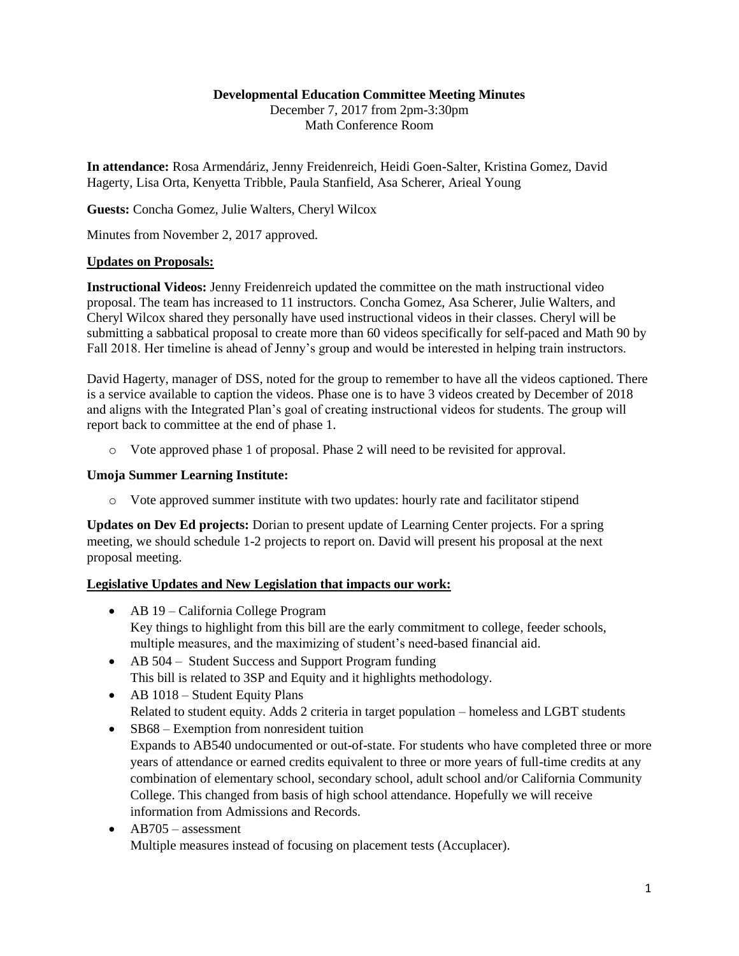#### **Developmental Education Committee Meeting Minutes**

December 7, 2017 from 2pm-3:30pm Math Conference Room

**In attendance:** Rosa Armendáriz, Jenny Freidenreich, Heidi Goen-Salter, Kristina Gomez, David Hagerty, Lisa Orta, Kenyetta Tribble, Paula Stanfield, Asa Scherer, Arieal Young

**Guests:** Concha Gomez, Julie Walters, Cheryl Wilcox

Minutes from November 2, 2017 approved.

#### **Updates on Proposals:**

**Instructional Videos:** Jenny Freidenreich updated the committee on the math instructional video proposal. The team has increased to 11 instructors. Concha Gomez, Asa Scherer, Julie Walters, and Cheryl Wilcox shared they personally have used instructional videos in their classes. Cheryl will be submitting a sabbatical proposal to create more than 60 videos specifically for self-paced and Math 90 by Fall 2018. Her timeline is ahead of Jenny's group and would be interested in helping train instructors.

David Hagerty, manager of DSS, noted for the group to remember to have all the videos captioned. There is a service available to caption the videos. Phase one is to have 3 videos created by December of 2018 and aligns with the Integrated Plan's goal of creating instructional videos for students. The group will report back to committee at the end of phase 1.

o Vote approved phase 1 of proposal. Phase 2 will need to be revisited for approval.

#### **Umoja Summer Learning Institute:**

o Vote approved summer institute with two updates: hourly rate and facilitator stipend

**Updates on Dev Ed projects:** Dorian to present update of Learning Center projects. For a spring meeting, we should schedule 1-2 projects to report on. David will present his proposal at the next proposal meeting.

# **Legislative Updates and New Legislation that impacts our work:**

- AB 19 California College Program Key things to highlight from this bill are the early commitment to college, feeder schools, multiple measures, and the maximizing of student's need-based financial aid.
- AB 504 Student Success and Support Program funding This bill is related to 3SP and Equity and it highlights methodology.
- AB 1018 Student Equity Plans Related to student equity. Adds 2 criteria in target population – homeless and LGBT students
- SB68 Exemption from nonresident tuition
- Expands to AB540 undocumented or out-of-state. For students who have completed three or more years of attendance or earned credits equivalent to three or more years of full-time credits at any combination of elementary school, secondary school, adult school and/or California Community College. This changed from basis of high school attendance. Hopefully we will receive information from Admissions and Records.
- AB705 assessment Multiple measures instead of focusing on placement tests (Accuplacer).